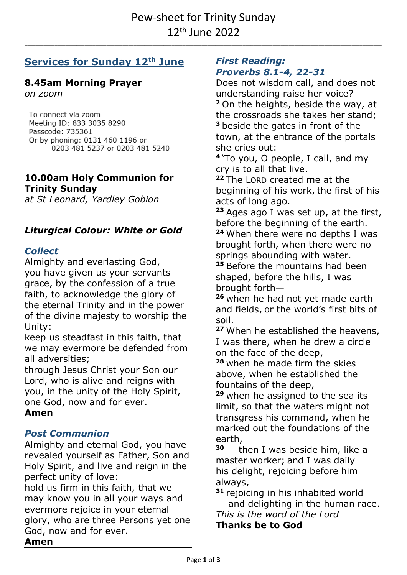**\_\_\_\_\_\_\_\_\_\_\_\_\_\_\_\_\_\_\_\_\_\_\_\_\_\_\_\_\_\_\_\_\_\_\_\_\_\_\_\_\_\_\_\_\_\_\_\_\_\_\_\_\_\_\_\_\_\_\_\_\_\_\_\_\_\_\_\_\_\_\_\_\_\_\_\_\_\_\_\_\_\_\_\_\_\_\_\_\_\_\_\_\_\_\_\_\_\_\_\_\_\_\_\_\_\_\_\_\_\_\_\_\_\_\_\_\_\_\_\_\_\_\_\_\_\_\_\_\_\_\_**

# **Services for Sunday 12th June**

# **8.45am Morning Prayer**

*on zoom*

To connect via zoom Meeting ID: 833 3035 8290 Passcode: 735361 Or by phoning: 0131 460 1196 or 0203 481 5237 or 0203 481 5240

### **10.00am Holy Communion for Trinity Sunday**

*at St Leonard, Yardley Gobion*

# *Liturgical Colour: White or Gold*

## *Collect*

Almighty and everlasting God, you have given us your servants grace, by the confession of a true faith, to acknowledge the glory of the eternal Trinity and in the power of the divine majesty to worship the Unity:

keep us steadfast in this faith, that we may evermore be defended from all adversities;

through Jesus Christ your Son our Lord, who is alive and reigns with you, in the unity of the Holy Spirit, one God, now and for ever.

## **Amen**

# *Post Communion*

Almighty and eternal God, you have revealed yourself as Father, Son and Holy Spirit, and live and reign in the perfect unity of love:

hold us firm in this faith, that we may know you in all your ways and evermore rejoice in your eternal glory, who are three Persons yet one God, now and for ever.

#### *First Reading: Proverbs 8.1-4, 22-31*

Does not wisdom call, and does not understanding raise her voice? **<sup>2</sup>** On the heights, beside the way, at the crossroads she takes her stand; **<sup>3</sup>** beside the gates in front of the town, at the entrance of the portals she cries out:

**4** 'To you, O people, I call, and my cry is to all that live.

**<sup>22</sup>** The LORD created me at the beginning of his work, the first of his acts of long ago.

**<sup>23</sup>** Ages ago I was set up, at the first, before the beginning of the earth.

**<sup>24</sup>** When there were no depths I was brought forth, when there were no springs abounding with water.

**<sup>25</sup>** Before the mountains had been shaped, before the hills, I was brought forth—

**<sup>26</sup>** when he had not yet made earth and fields, or the world's first bits of soil.

**<sup>27</sup>** When he established the heavens, I was there, when he drew a circle on the face of the deep,

**<sup>28</sup>** when he made firm the skies above, when he established the fountains of the deep,

**<sup>29</sup>** when he assigned to the sea its limit, so that the waters might not transgress his command, when he marked out the foundations of the earth,

**30** then I was beside him, like a master worker; and I was daily his delight, rejoicing before him always,

**<sup>31</sup>** rejoicing in his inhabited world and delighting in the human race.

*This is the word of the Lord*

**Thanks be to God**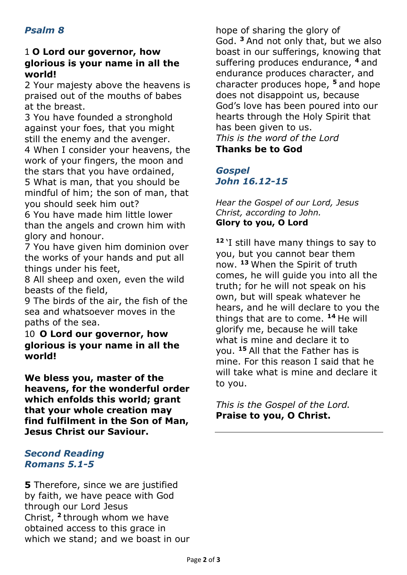## 1 **O Lord our governor, how glorious is your name in all the world!**

2 Your majesty above the heavens is praised out of the mouths of babes at the breast.

3 You have founded a stronghold against your foes, that you might still the enemy and the avenger. 4 When I consider your heavens, the work of your fingers, the moon and the stars that you have ordained, 5 What is man, that you should be mindful of him; the son of man, that you should seek him out?

6 You have made him little lower than the angels and crown him with glory and honour.

7 You have given him dominion over the works of your hands and put all things under his feet,

8 All sheep and oxen, even the wild beasts of the field,

9 The birds of the air, the fish of the sea and whatsoever moves in the paths of the sea.

10 **O Lord our governor, how glorious is your name in all the world!**

**We bless you, master of the heavens, for the wonderful order which enfolds this world; grant that your whole creation may find fulfilment in the Son of Man, Jesus Christ our Saviour.**

### *Second Reading Romans 5.1-5*

**5** Therefore, since we are justified by faith, we have peace with God through our Lord Jesus Christ, **<sup>2</sup>** through whom we have obtained access to this grace in which we stand; and we boast in our

hope of sharing the glory of God. **<sup>3</sup>** And not only that, but we also boast in our sufferings, knowing that suffering produces endurance, **<sup>4</sup>** and endurance produces character, and character produces hope, **<sup>5</sup>** and hope does not disappoint us, because God's love has been poured into our hearts through the Holy Spirit that has been given to us. *This is the word of the Lord* **Thanks be to God**

*Gospel John 16.12-15*

*Hear the Gospel of our Lord, Jesus Christ, according to John.* **Glory to you, O Lord**

**<sup>12</sup>** 'I still have many things to say to you, but you cannot bear them now. **<sup>13</sup>** When the Spirit of truth comes, he will guide you into all the truth; for he will not speak on his own, but will speak whatever he hears, and he will declare to you the things that are to come. **<sup>14</sup>** He will glorify me, because he will take what is mine and declare it to you. **<sup>15</sup>** All that the Father has is mine. For this reason I said that he will take what is mine and declare it to you.

*This is the Gospel of the Lord.* **Praise to you, O Christ.**